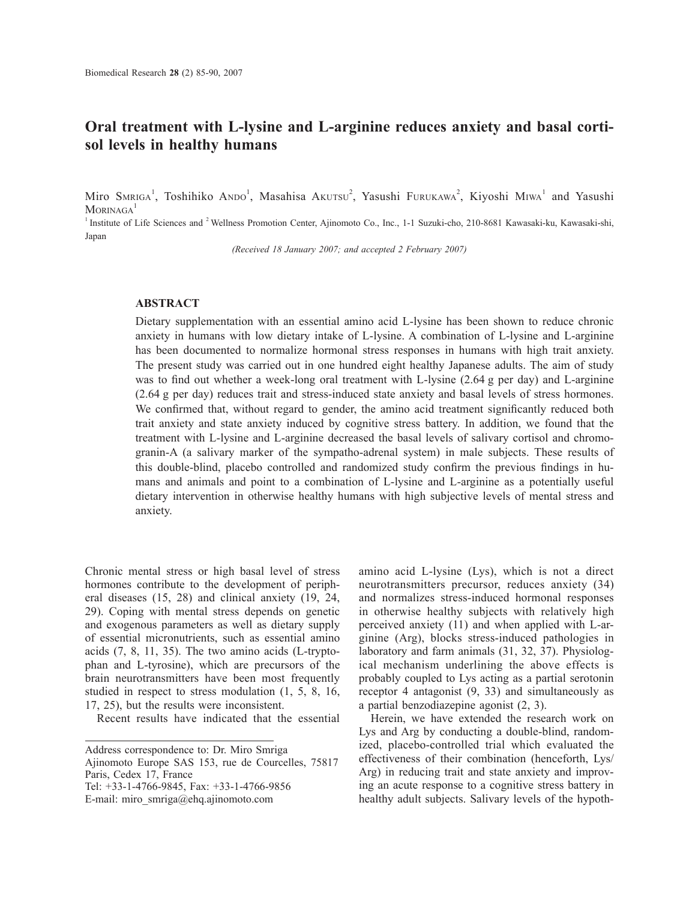# **Oral treatment with L-lysine and L-arginine reduces anxiety and basal cortisol levels in healthy humans**

Miro SMRIGA<sup>1</sup>, Toshihiko ANDO<sup>1</sup>, Masahisa Akutsu<sup>2</sup>, Yasushi Furukawa<sup>2</sup>, Kiyoshi MIwa<sup>1</sup> and Yasushi MORINAGA<sup>1</sup>

<sup>1</sup> Institute of Life Sciences and <sup>2</sup> Wellness Promotion Center, Ajinomoto Co., Inc., 1-1 Suzuki-cho, 210-8681 Kawasaki-ku, Kawasaki-shi, Japan

*(Received 18 January 2007; and accepted 2 February 2007)*

## **ABSTRACT**

Dietary supplementation with an essential amino acid L-lysine has been shown to reduce chronic anxiety in humans with low dietary intake of L-lysine. A combination of L-lysine and L-arginine has been documented to normalize hormonal stress responses in humans with high trait anxiety. The present study was carried out in one hundred eight healthy Japanese adults. The aim of study was to find out whether a week-long oral treatment with L-lysine (2.64 g per day) and L-arginine (2.64 g per day) reduces trait and stress-induced state anxiety and basal levels of stress hormones. We confirmed that, without regard to gender, the amino acid treatment significantly reduced both trait anxiety and state anxiety induced by cognitive stress battery. In addition, we found that the treatment with L-lysine and L-arginine decreased the basal levels of salivary cortisol and chromogranin-A (a salivary marker of the sympatho-adrenal system) in male subjects. These results of this double-blind, placebo controlled and randomized study confirm the previous findings in humans and animals and point to a combination of L-lysine and L-arginine as a potentially useful dietary intervention in otherwise healthy humans with high subjective levels of mental stress and anxiety.

Chronic mental stress or high basal level of stress hormones contribute to the development of peripheral diseases (15, 28) and clinical anxiety (19, 24, 29). Coping with mental stress depends on genetic and exogenous parameters as well as dietary supply of essential micronutrients, such as essential amino acids (7, 8, 11, 35). The two amino acids (L-tryptophan and L-tyrosine), which are precursors of the brain neurotransmitters have been most frequently studied in respect to stress modulation (1, 5, 8, 16, 17, 25), but the results were inconsistent.

Recent results have indicated that the essential

Tel: +33-1-4766-9845, Fax: +33-1-4766-9856

amino acid L-lysine (Lys), which is not a direct neurotransmitters precursor, reduces anxiety (34) and normalizes stress-induced hormonal responses in otherwise healthy subjects with relatively high perceived anxiety (11) and when applied with L-arginine (Arg), blocks stress-induced pathologies in laboratory and farm animals (31, 32, 37). Physiological mechanism underlining the above effects is probably coupled to Lys acting as a partial serotonin receptor 4 antagonist (9, 33) and simultaneously as a partial benzodiazepine agonist (2, 3).

Herein, we have extended the research work on Lys and Arg by conducting a double-blind, randomized, placebo-controlled trial which evaluated the effectiveness of their combination (henceforth, Lys/ Arg) in reducing trait and state anxiety and improving an acute response to a cognitive stress battery in healthy adult subjects. Salivary levels of the hypoth-

Address correspondence to: Dr. Miro Smriga

Ajinomoto Europe SAS 153, rue de Courcelles, 75817 Paris, Cedex 17, France

E-mail: miro\_smriga@ehq.ajinomoto.com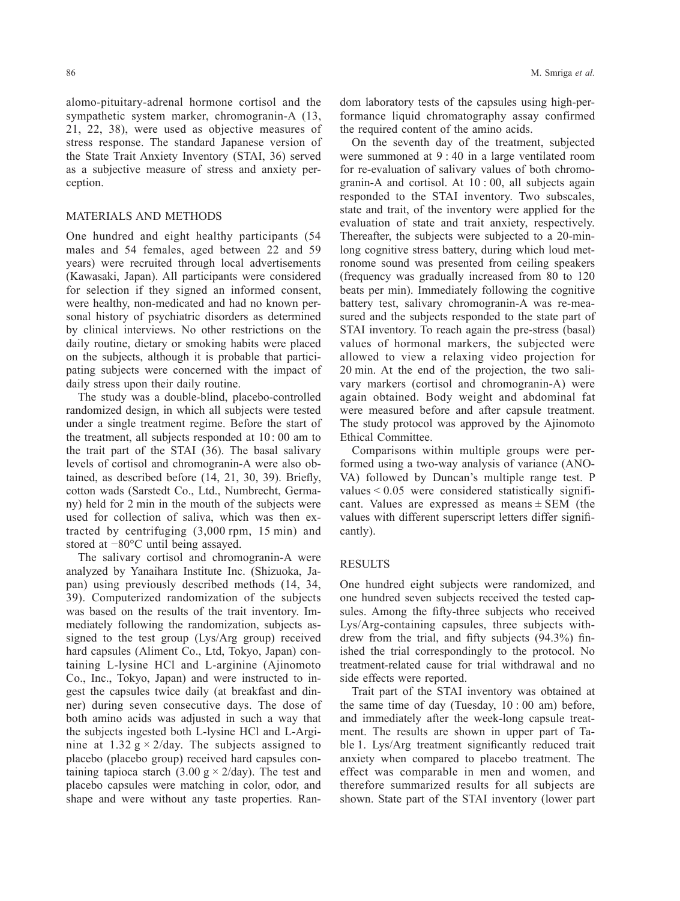alomo-pituitary-adrenal hormone cortisol and the sympathetic system marker, chromogranin-A (13, 21, 22, 38), were used as objective measures of stress response. The standard Japanese version of the State Trait Anxiety Inventory (STAI, 36) served as a subjective measure of stress and anxiety perception.

### MATERIALS AND METHODS

One hundred and eight healthy participants (54 males and 54 females, aged between 22 and 59 years) were recruited through local advertisements (Kawasaki, Japan). All participants were considered for selection if they signed an informed consent, were healthy, non-medicated and had no known personal history of psychiatric disorders as determined by clinical interviews. No other restrictions on the daily routine, dietary or smoking habits were placed on the subjects, although it is probable that participating subjects were concerned with the impact of daily stress upon their daily routine.

The study was a double-blind, placebo-controlled randomized design, in which all subjects were tested under a single treatment regime. Before the start of the treatment, all subjects responded at 10: 00 am to the trait part of the STAI (36). The basal salivary levels of cortisol and chromogranin-A were also obtained, as described before (14, 21, 30, 39). Briefly, cotton wads (Sarstedt Co., Ltd., Numbrecht, Germany) held for 2 min in the mouth of the subjects were used for collection of saliva, which was then extracted by centrifuging (3,000 rpm, 15 min) and stored at −80°C until being assayed.

The salivary cortisol and chromogranin-A were analyzed by Yanaihara Institute Inc. (Shizuoka, Japan) using previously described methods (14, 34, 39). Computerized randomization of the subjects was based on the results of the trait inventory. Immediately following the randomization, subjects assigned to the test group (Lys/Arg group) received hard capsules (Aliment Co., Ltd, Tokyo, Japan) containing L-lysine HCl and L-arginine (Ajinomoto Co., Inc., Tokyo, Japan) and were instructed to ingest the capsules twice daily (at breakfast and dinner) during seven consecutive days. The dose of both amino acids was adjusted in such a way that the subjects ingested both L-lysine HCl and L-Arginine at 1.32 g  $\times$  2/day. The subjects assigned to placebo (placebo group) received hard capsules containing tapioca starch (3.00 g  $\times$  2/day). The test and placebo capsules were matching in color, odor, and shape and were without any taste properties. Random laboratory tests of the capsules using high-performance liquid chromatography assay confirmed the required content of the amino acids.

On the seventh day of the treatment, subjected were summoned at 9 : 40 in a large ventilated room for re-evaluation of salivary values of both chromogranin-A and cortisol. At 10 : 00, all subjects again responded to the STAI inventory. Two subscales, state and trait, of the inventory were applied for the evaluation of state and trait anxiety, respectively. Thereafter, the subjects were subjected to a 20-minlong cognitive stress battery, during which loud metronome sound was presented from ceiling speakers (frequency was gradually increased from 80 to 120 beats per min). Immediately following the cognitive battery test, salivary chromogranin-A was re-measured and the subjects responded to the state part of STAI inventory. To reach again the pre-stress (basal) values of hormonal markers, the subjected were allowed to view a relaxing video projection for 20 min. At the end of the projection, the two salivary markers (cortisol and chromogranin-A) were again obtained. Body weight and abdominal fat were measured before and after capsule treatment. The study protocol was approved by the Ajinomoto Ethical Committee.

Comparisons within multiple groups were performed using a two-way analysis of variance (ANO-VA) followed by Duncan's multiple range test. P values < 0.05 were considered statistically significant. Values are expressed as means  $\pm$  SEM (the values with different superscript letters differ significantly).

## RESULTS

One hundred eight subjects were randomized, and one hundred seven subjects received the tested capsules. Among the fifty-three subjects who received Lys/Arg-containing capsules, three subjects withdrew from the trial, and fifty subjects (94.3%) finished the trial correspondingly to the protocol. No treatment-related cause for trial withdrawal and no side effects were reported.

Trait part of the STAI inventory was obtained at the same time of day (Tuesday, 10 : 00 am) before, and immediately after the week-long capsule treatment. The results are shown in upper part of Table 1. Lys/Arg treatment significantly reduced trait anxiety when compared to placebo treatment. The effect was comparable in men and women, and therefore summarized results for all subjects are shown. State part of the STAI inventory (lower part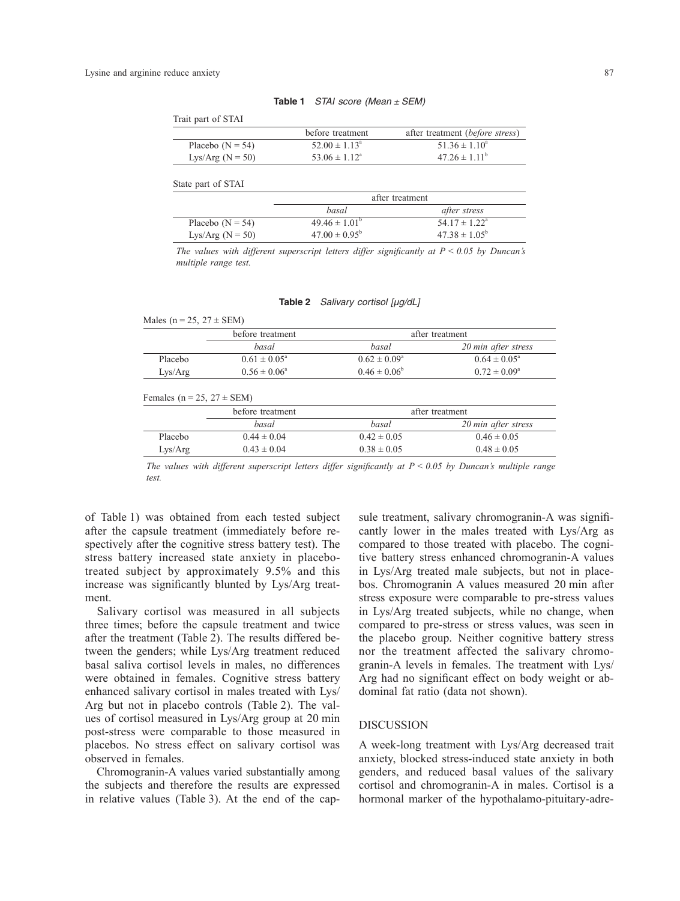| STAI score (Mean $\pm$ SEM)<br>Table 1 |  |  |
|----------------------------------------|--|--|
|----------------------------------------|--|--|

Trait part of STAI

|                    | before treatment         | after treatment (before stress) |
|--------------------|--------------------------|---------------------------------|
| Placebo $(N = 54)$ | $52.00 \pm 1.13^{\circ}$ | $51.36 \pm 1.10^a$              |
| Lys/Arg $(N = 50)$ | $53.06 \pm 1.12^{\circ}$ | $47.26 \pm 1.11^{\circ}$        |

State part of STAI

|                    | after treatment          |                          |
|--------------------|--------------------------|--------------------------|
|                    | basal                    | after stress             |
| Placebo $(N = 54)$ | $49.46 \pm 1.01^{\circ}$ | $54.17 \pm 1.22^{\circ}$ |
| Lys/Arg $(N = 50)$ | $47.00 \pm 0.95^{\circ}$ | $47.38 \pm 1.05^{\circ}$ |

*The values with different superscript letters differ significantly at*  $P \le 0.05$  *by Duncan's multiple range test.*

| Table 2 | Salivary cortisol [µg/dL] |  |  |
|---------|---------------------------|--|--|
|---------|---------------------------|--|--|

|                                    | before treatment        |                         | after treatment         |
|------------------------------------|-------------------------|-------------------------|-------------------------|
|                                    | basal                   | basal                   | 20 min after stress     |
| Placebo                            | $0.61 \pm 0.05^{\circ}$ | $0.62 \pm 0.09^{\circ}$ | $0.64 \pm 0.05^{\circ}$ |
| Lys/Arg                            | $0.56 \pm 0.06^{\circ}$ | $0.46 \pm 0.06^b$       | $0.72 \pm 0.09^{\circ}$ |
|                                    |                         |                         |                         |
| Females ( $n = 25$ , $27 \pm$ SEM) | before treatment        |                         | after treatment         |
|                                    | basal                   | basal                   | 20 min after stress     |
| Placebo                            | $0.44 \pm 0.04$         | $0.42 \pm 0.05$         | $0.46 \pm 0.05$         |

*The values with different superscript letters differ significantly at P < 0.05 by Duncan's multiple range test.*

of Table 1) was obtained from each tested subject after the capsule treatment (immediately before respectively after the cognitive stress battery test). The stress battery increased state anxiety in placebotreated subject by approximately 9.5% and this increase was significantly blunted by Lys/Arg treatment.

Salivary cortisol was measured in all subjects three times; before the capsule treatment and twice after the treatment (Table 2). The results differed between the genders; while Lys/Arg treatment reduced basal saliva cortisol levels in males, no differences were obtained in females. Cognitive stress battery enhanced salivary cortisol in males treated with Lys/ Arg but not in placebo controls (Table 2). The values of cortisol measured in Lys/Arg group at 20 min post-stress were comparable to those measured in placebos. No stress effect on salivary cortisol was observed in females.

Chromogranin-A values varied substantially among the subjects and therefore the results are expressed in relative values (Table 3). At the end of the capsule treatment, salivary chromogranin-A was significantly lower in the males treated with Lys/Arg as compared to those treated with placebo. The cognitive battery stress enhanced chromogranin-A values in Lys/Arg treated male subjects, but not in placebos. Chromogranin A values measured 20 min after stress exposure were comparable to pre-stress values in Lys/Arg treated subjects, while no change, when compared to pre-stress or stress values, was seen in the placebo group. Neither cognitive battery stress nor the treatment affected the salivary chromogranin-A levels in females. The treatment with Lys/ Arg had no significant effect on body weight or abdominal fat ratio (data not shown).

#### **DISCUSSION**

A week-long treatment with Lys/Arg decreased trait anxiety, blocked stress-induced state anxiety in both genders, and reduced basal values of the salivary cortisol and chromogranin-A in males. Cortisol is a hormonal marker of the hypothalamo-pituitary-adre-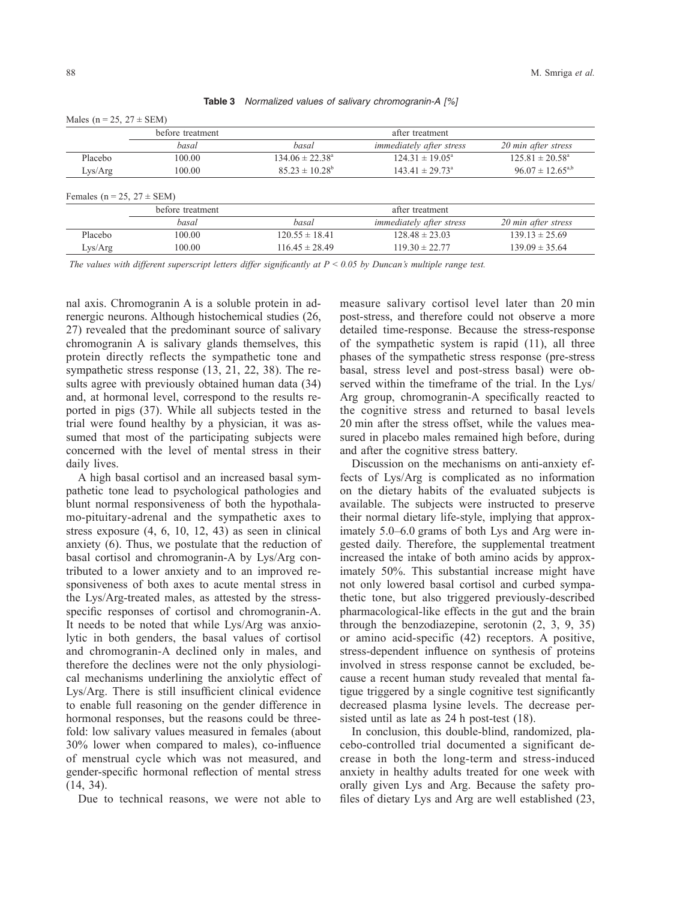|  |  |  |  |  | Table 3 Normalized values of salivary chromogranin-A [%] |  |  |
|--|--|--|--|--|----------------------------------------------------------|--|--|
|--|--|--|--|--|----------------------------------------------------------|--|--|

Males ( $n = 25$ ,  $27 +$  SEM)

|                                    | before treatment |                            | after treatment                 |                            |
|------------------------------------|------------------|----------------------------|---------------------------------|----------------------------|
|                                    | basal            | basal                      | <i>immediately after stress</i> | 20 min after stress        |
| Placebo                            | 100.00           | $134.06 \pm 22.38^{\circ}$ | $124.31 \pm 19.05^{\circ}$      | $125.81 \pm 20.58^{\circ}$ |
| Lys/Arg                            | 100.00           | $85.23 \pm 10.28^b$        | $143.41 \pm 29.73^{\circ}$      | $96.07 \pm 12.65^{a,b}$    |
| Females ( $n = 25$ , $27 \pm$ SEM) |                  |                            |                                 |                            |
|                                    | before treatment |                            | after treatment                 |                            |
|                                    | basal            | basal                      | <i>immediately after stress</i> | 20 min after stress        |
| Placebo                            | 100.00           | $120.55 \pm 18.41$         | $128.48 \pm 23.03$              | $139.13 \pm 25.69$         |

The values with different superscript letters differ significantly at  $P < 0.05$  by Duncan's multiple range test.

nal axis. Chromogranin A is a soluble protein in adrenergic neurons. Although histochemical studies (26, 27) revealed that the predominant source of salivary chromogranin A is salivary glands themselves, this protein directly reflects the sympathetic tone and sympathetic stress response (13, 21, 22, 38). The results agree with previously obtained human data (34) and, at hormonal level, correspond to the results reported in pigs (37). While all subjects tested in the trial were found healthy by a physician, it was assumed that most of the participating subjects were concerned with the level of mental stress in their daily lives.

A high basal cortisol and an increased basal sympathetic tone lead to psychological pathologies and blunt normal responsiveness of both the hypothalamo-pituitary-adrenal and the sympathetic axes to stress exposure (4, 6, 10, 12, 43) as seen in clinical anxiety (6). Thus, we postulate that the reduction of basal cortisol and chromogranin-A by Lys/Arg contributed to a lower anxiety and to an improved responsiveness of both axes to acute mental stress in the Lys/Arg-treated males, as attested by the stressspecific responses of cortisol and chromogranin-A. It needs to be noted that while Lys/Arg was anxiolytic in both genders, the basal values of cortisol and chromogranin-A declined only in males, and therefore the declines were not the only physiological mechanisms underlining the anxiolytic effect of Lys/Arg. There is still insufficient clinical evidence to enable full reasoning on the gender difference in hormonal responses, but the reasons could be threefold: low salivary values measured in females (about 30% lower when compared to males), co-influence of menstrual cycle which was not measured, and gender-specific hormonal reflection of mental stress (14, 34).

Due to technical reasons, we were not able to

measure salivary cortisol level later than 20 min post-stress, and therefore could not observe a more detailed time-response. Because the stress-response of the sympathetic system is rapid (11), all three phases of the sympathetic stress response (pre-stress basal, stress level and post-stress basal) were observed within the timeframe of the trial. In the Lys/ Arg group, chromogranin-A specifically reacted to the cognitive stress and returned to basal levels 20 min after the stress offset, while the values measured in placebo males remained high before, during and after the cognitive stress battery.

Discussion on the mechanisms on anti-anxiety effects of Lys/Arg is complicated as no information on the dietary habits of the evaluated subjects is available. The subjects were instructed to preserve their normal dietary life-style, implying that approximately 5.0–6.0 grams of both Lys and Arg were ingested daily. Therefore, the supplemental treatment increased the intake of both amino acids by approximately 50%. This substantial increase might have not only lowered basal cortisol and curbed sympathetic tone, but also triggered previously-described pharmacological-like effects in the gut and the brain through the benzodiazepine, serotonin (2, 3, 9, 35) or amino acid-specific (42) receptors. A positive, stress-dependent influence on synthesis of proteins involved in stress response cannot be excluded, because a recent human study revealed that mental fatigue triggered by a single cognitive test significantly decreased plasma lysine levels. The decrease persisted until as late as 24 h post-test (18).

In conclusion, this double-blind, randomized, placebo-controlled trial documented a significant decrease in both the long-term and stress-induced anxiety in healthy adults treated for one week with orally given Lys and Arg. Because the safety profiles of dietary Lys and Arg are well established (23,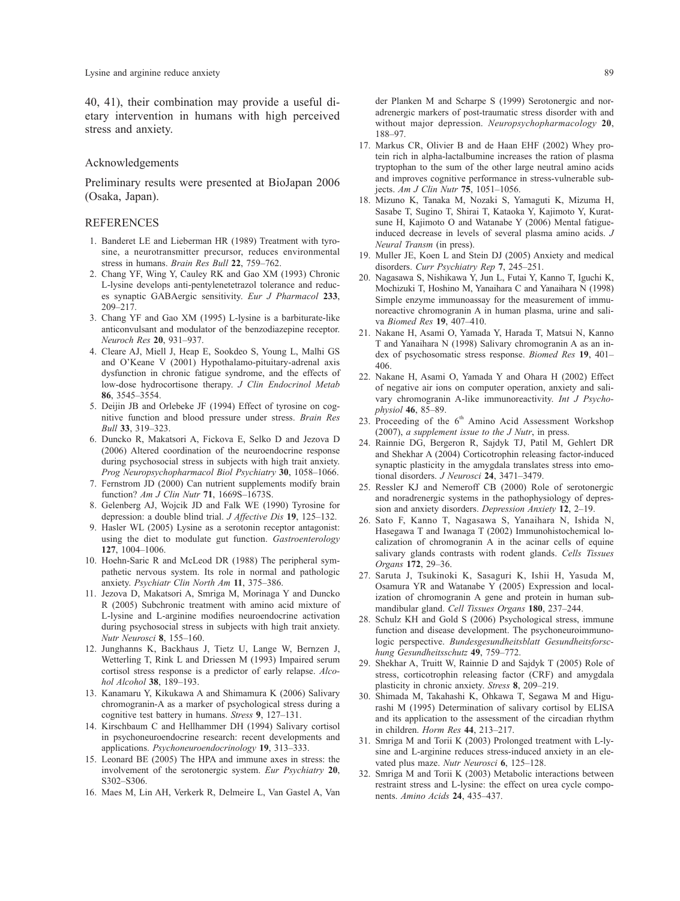40, 41), their combination may provide a useful dietary intervention in humans with high perceived stress and anxiety.

#### Acknowledgements

Preliminary results were presented at BioJapan 2006 (Osaka, Japan).

#### REFERENCES

- 1. Banderet LE and Lieberman HR (1989) Treatment with tyrosine, a neurotransmitter precursor, reduces environmental stress in humans. *Brain Res Bull* **22**, 759–762.
- 2. Chang YF, Wing Y, Cauley RK and Gao XM (1993) Chronic L-lysine develops anti-pentylenetetrazol tolerance and reduces synaptic GABAergic sensitivity. *Eur J Pharmacol* **233**, 209–217.
- 3. Chang YF and Gao XM (1995) L-lysine is a barbiturate-like anticonvulsant and modulator of the benzodiazepine receptor. *Neuroch Res* **20**, 931–937.
- 4. Cleare AJ, Miell J, Heap E, Sookdeo S, Young L, Malhi GS and O'Keane V (2001) Hypothalamo-pituitary-adrenal axis dysfunction in chronic fatigue syndrome, and the effects of low-dose hydrocortisone therapy. *J Clin Endocrinol Metab* **86**, 3545–3554.
- 5. Deijin JB and Orlebeke JF (1994) Effect of tyrosine on cognitive function and blood pressure under stress. *Brain Res Bull* **33**, 319–323.
- 6. Duncko R, Makatsori A, Fickova E, Selko D and Jezova D (2006) Altered coordination of the neuroendocrine response during psychosocial stress in subjects with high trait anxiety. *Prog Neuropsychopharmacol Biol Psychiatry* **30**, 1058–1066.
- 7. Fernstrom JD (2000) Can nutrient supplements modify brain function? *Am J Clin Nutr* **71**, 1669S–1673S.
- 8. Gelenberg AJ, Wojcik JD and Falk WE (1990) Tyrosine for depression: a double blind trial. *J Affective Dis* **19**, 125–132.
- 9. Hasler WL (2005) Lysine as a serotonin receptor antagonist: using the diet to modulate gut function. *Gastroenterology* **127**, 1004–1006.
- 10. Hoehn-Saric R and McLeod DR (1988) The peripheral sympathetic nervous system. Its role in normal and pathologic anxiety. *Psychiatr Clin North Am* **11**, 375–386.
- 11. Jezova D, Makatsori A, Smriga M, Morinaga Y and Duncko R (2005) Subchronic treatment with amino acid mixture of L-lysine and L-arginine modifies neuroendocrine activation during psychosocial stress in subjects with high trait anxiety. *Nutr Neurosci* **8**, 155–160.
- 12. Junghanns K, Backhaus J, Tietz U, Lange W, Bernzen J, Wetterling T, Rink L and Driessen M (1993) Impaired serum cortisol stress response is a predictor of early relapse. *Alcohol Alcohol* **38**, 189–193.
- 13. Kanamaru Y, Kikukawa A and Shimamura K (2006) Salivary chromogranin-A as a marker of psychological stress during a cognitive test battery in humans. *Stress* **9**, 127–131.
- 14. Kirschbaum C and Hellhammer DH (1994) Salivary cortisol in psychoneuroendocrine research: recent developments and applications. *Psychoneuroendocrinology* **19**, 313–333.
- 15. Leonard BE (2005) The HPA and immune axes in stress: the involvement of the serotonergic system. *Eur Psychiatry* **20**, S302–S306.
- 16. Maes M, Lin AH, Verkerk R, Delmeire L, Van Gastel A, Van

der Planken M and Scharpe S (1999) Serotonergic and noradrenergic markers of post-traumatic stress disorder with and without major depression. *Neuropsychopharmacology* **20**, 188–97.

- 17. Markus CR, Olivier B and de Haan EHF (2002) Whey protein rich in alpha-lactalbumine increases the ration of plasma tryptophan to the sum of the other large neutral amino acids and improves cognitive performance in stress-vulnerable subjects. *Am J Clin Nutr* **75**, 1051–1056.
- 18. Mizuno K, Tanaka M, Nozaki S, Yamaguti K, Mizuma H, Sasabe T, Sugino T, Shirai T, Kataoka Y, Kajimoto Y, Kuratsune H, Kajimoto O and Watanabe Y (2006) Mental fatigueinduced decrease in levels of several plasma amino acids. *J Neural Transm* (in press).
- 19. Muller JE, Koen L and Stein DJ (2005) Anxiety and medical disorders. *Curr Psychiatry Rep* **7**, 245–251.
- 20. Nagasawa S, Nishikawa Y, Jun L, Futai Y, Kanno T, Iguchi K, Mochizuki T, Hoshino M, Yanaihara C and Yanaihara N (1998) Simple enzyme immunoassay for the measurement of immunoreactive chromogranin A in human plasma, urine and saliva *Biomed Res* **19**, 407–410.
- 21. Nakane H, Asami O, Yamada Y, Harada T, Matsui N, Kanno T and Yanaihara N (1998) Salivary chromogranin A as an index of psychosomatic stress response. *Biomed Res* **19**, 401– 406.
- 22. Nakane H, Asami O, Yamada Y and Ohara H (2002) Effect of negative air ions on computer operation, anxiety and salivary chromogranin A-like immunoreactivity. *Int J Psychophysiol* **46**, 85–89.
- 23. Proceeding of the  $6<sup>th</sup>$  Amino Acid Assessment Workshop (2007), *a supplement issue to the J Nutr*, in press.
- 24. Rainnie DG, Bergeron R, Sajdyk TJ, Patil M, Gehlert DR and Shekhar A (2004) Corticotrophin releasing factor-induced synaptic plasticity in the amygdala translates stress into emotional disorders. *J Neurosci* **24**, 3471–3479.
- 25. Ressler KJ and Nemeroff CB (2000) Role of serotonergic and noradrenergic systems in the pathophysiology of depression and anxiety disorders. *Depression Anxiety* **12**, 2–19.
- 26. Sato F, Kanno T, Nagasawa S, Yanaihara N, Ishida N, Hasegawa T and Iwanaga T (2002) Immunohistochemical localization of chromogranin A in the acinar cells of equine salivary glands contrasts with rodent glands. *Cells Tissues Organs* **172**, 29–36.
- 27. Saruta J, Tsukinoki K, Sasaguri K, Ishii H, Yasuda M, Osamura YR and Watanabe Y (2005) Expression and localization of chromogranin A gene and protein in human submandibular gland. *Cell Tissues Organs* **180**, 237–244.
- 28. Schulz KH and Gold S (2006) Psychological stress, immune function and disease development. The psychoneuroimmunologic perspective. *Bundesgesundheitsblatt Gesundheitsforschung Gesundheitsschutz* **49**, 759–772.
- 29. Shekhar A, Truitt W, Rainnie D and Sajdyk T (2005) Role of stress, corticotrophin releasing factor (CRF) and amygdala plasticity in chronic anxiety. *Stress* **8**, 209–219.
- 30. Shimada M, Takahashi K, Ohkawa T, Segawa M and Higurashi M (1995) Determination of salivary cortisol by ELISA and its application to the assessment of the circadian rhythm in children. *Horm Res* **44**, 213–217.
- 31. Smriga M and Torii K (2003) Prolonged treatment with L-lysine and L-arginine reduces stress-induced anxiety in an elevated plus maze. *Nutr Neurosci* **6**, 125–128.
- 32. Smriga M and Torii K (2003) Metabolic interactions between restraint stress and L-lysine: the effect on urea cycle components. *Amino Acids* **24**, 435–437.